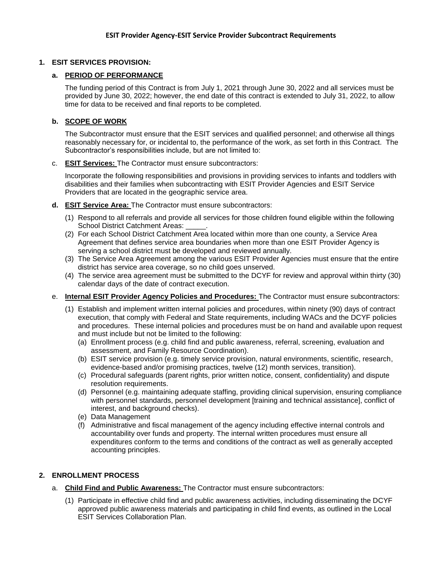## **1. ESIT SERVICES PROVISION:**

## **a. PERIOD OF PERFORMANCE**

The funding period of this Contract is from July 1, 2021 through June 30, 2022 and all services must be provided by June 30, 2022; however, the end date of this contract is extended to July 31, 2022, to allow time for data to be received and final reports to be completed.

## **b. SCOPE OF WORK**

The Subcontractor must ensure that the ESIT services and qualified personnel; and otherwise all things reasonably necessary for, or incidental to, the performance of the work, as set forth in this Contract. The Subcontractor's responsibilities include, but are not limited to:

c. **ESIT Services:** The Contractor must ensure subcontractors:

Incorporate the following responsibilities and provisions in providing services to infants and toddlers with disabilities and their families when subcontracting with ESIT Provider Agencies and ESIT Service Providers that are located in the geographic service area.

- **d. ESIT Service Area:** The Contractor must ensure subcontractors:
	- (1) Respond to all referrals and provide all services for those children found eligible within the following School District Catchment Areas:
	- (2) For each School District Catchment Area located within more than one county, a Service Area Agreement that defines service area boundaries when more than one ESIT Provider Agency is serving a school district must be developed and reviewed annually.
	- (3) The Service Area Agreement among the various ESIT Provider Agencies must ensure that the entire district has service area coverage, so no child goes unserved.
	- (4) The service area agreement must be submitted to the DCYF for review and approval within thirty (30) calendar days of the date of contract execution.
- e. **Internal ESIT Provider Agency Policies and Procedures:** The Contractor must ensure subcontractors:
	- (1) Establish and implement written internal policies and procedures, within ninety (90) days of contract execution, that comply with Federal and State requirements, including WACs and the DCYF policies and procedures. These internal policies and procedures must be on hand and available upon request and must include but not be limited to the following:
		- (a) Enrollment process (e.g. child find and public awareness, referral, screening, evaluation and assessment, and Family Resource Coordination).
		- (b) ESIT service provision (e.g. timely service provision, natural environments, scientific, research, evidence-based and/or promising practices, twelve (12) month services, transition).
		- (c) Procedural safeguards (parent rights, prior written notice, consent, confidentiality) and dispute resolution requirements.
		- (d) Personnel (e.g. maintaining adequate staffing, providing clinical supervision, ensuring compliance with personnel standards, personnel development [training and technical assistance], conflict of interest, and background checks).
		- (e) Data Management
		- (f) Administrative and fiscal management of the agency including effective internal controls and accountability over funds and property. The internal written procedures must ensure all expenditures conform to the terms and conditions of the contract as well as generally accepted accounting principles.

## **2. ENROLLMENT PROCESS**

- a. **Child Find and Public Awareness:** The Contractor must ensure subcontractors:
	- (1) Participate in effective child find and public awareness activities, including disseminating the DCYF approved public awareness materials and participating in child find events, as outlined in the Local ESIT Services Collaboration Plan.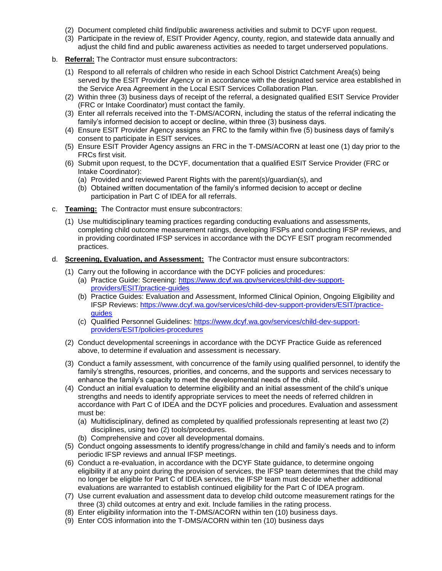- (2) Document completed child find/public awareness activities and submit to DCYF upon request.
- (3) Participate in the review of, ESIT Provider Agency, county, region, and statewide data annually and adjust the child find and public awareness activities as needed to target underserved populations.
- b. **Referral:** The Contractor must ensure subcontractors:
	- (1) Respond to all referrals of children who reside in each School District Catchment Area(s) being served by the ESIT Provider Agency or in accordance with the designated service area established in the Service Area Agreement in the Local ESIT Services Collaboration Plan.
	- (2) Within three (3) business days of receipt of the referral, a designated qualified ESIT Service Provider (FRC or Intake Coordinator) must contact the family.
	- (3) Enter all referrals received into the T-DMS/ACORN, including the status of the referral indicating the family's informed decision to accept or decline, within three (3) business days.
	- (4) Ensure ESIT Provider Agency assigns an FRC to the family within five (5) business days of family's consent to participate in ESIT services.
	- (5) Ensure ESIT Provider Agency assigns an FRC in the T-DMS/ACORN at least one (1) day prior to the FRCs first visit.
	- (6) Submit upon request, to the DCYF, documentation that a qualified ESIT Service Provider (FRC or Intake Coordinator):
		- (a) Provided and reviewed Parent Rights with the parent(s)/guardian(s), and
		- (b) Obtained written documentation of the family's informed decision to accept or decline participation in Part C of IDEA for all referrals.
- c. **Teaming:** The Contractor must ensure subcontractors:
	- (1) Use multidisciplinary teaming practices regarding conducting evaluations and assessments, completing child outcome measurement ratings, developing IFSPs and conducting IFSP reviews, and in providing coordinated IFSP services in accordance with the DCYF ESIT program recommended practices.
- d. **Screening, Evaluation, and Assessment:** The Contractor must ensure subcontractors:
	- (1) Carry out the following in accordance with the DCYF policies and procedures:
		- (a) Practice Guide: Screening: [https://www.dcyf.wa.gov/services/child-dev-support](https://www.dcyf.wa.gov/services/child-dev-support-providers/ESIT/practice-guides)[providers/ESIT/practice-guides](https://www.dcyf.wa.gov/services/child-dev-support-providers/ESIT/practice-guides)
		- (b) Practice Guides: Evaluation and Assessment, Informed Clinical Opinion, Ongoing Eligibility and IFSP Reviews: [https://www.dcyf.wa.gov/services/child-dev-support-providers/ESIT/practice](https://www.dcyf.wa.gov/services/child-dev-support-providers/ESIT/practice-guides)[guides](https://www.dcyf.wa.gov/services/child-dev-support-providers/ESIT/practice-guides)
		- (c) Qualified Personnel Guidelines: [https://www.dcyf.wa.gov/services/child-dev-support](https://www.dcyf.wa.gov/services/child-dev-support-providers/ESIT/policies-procedures)[providers/ESIT/policies-procedures](https://www.dcyf.wa.gov/services/child-dev-support-providers/ESIT/policies-procedures)
	- (2) Conduct developmental screenings in accordance with the DCYF Practice Guide as referenced above, to determine if evaluation and assessment is necessary.
	- (3) Conduct a family assessment, with concurrence of the family using qualified personnel, to identify the family's strengths, resources, priorities, and concerns, and the supports and services necessary to enhance the family's capacity to meet the developmental needs of the child.
	- (4) Conduct an initial evaluation to determine eligibility and an initial assessment of the child's unique strengths and needs to identify appropriate services to meet the needs of referred children in accordance with Part C of IDEA and the DCYF policies and procedures. Evaluation and assessment must be:
		- (a) Multidisciplinary, defined as completed by qualified professionals representing at least two (2) disciplines, using two (2) tools/procedures.
		- (b) Comprehensive and cover all developmental domains.
	- (5) Conduct ongoing assessments to identify progress/change in child and family's needs and to inform periodic IFSP reviews and annual IFSP meetings.
	- (6) Conduct a re-evaluation, in accordance with the DCYF State guidance, to determine ongoing eligibility if at any point during the provision of services, the IFSP team determines that the child may no longer be eligible for Part C of IDEA services, the IFSP team must decide whether additional evaluations are warranted to establish continued eligibility for the Part C of IDEA program.
	- (7) Use current evaluation and assessment data to develop child outcome measurement ratings for the three (3) child outcomes at entry and exit. Include families in the rating process.
	- (8) Enter eligibility information into the T-DMS/ACORN within ten (10) business days.
	- (9) Enter COS information into the T-DMS/ACORN within ten (10) business days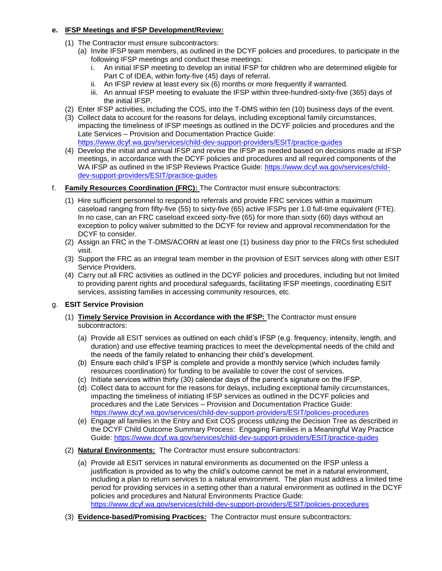# **e. IFSP Meetings and IFSP Development/Review:**

- (1) The Contractor must ensure subcontractors:
	- (a) Invite IFSP team members, as outlined in the DCYF policies and procedures, to participate in the following IFSP meetings and conduct these meetings:
		- i. An initial IFSP meeting to develop an initial IFSP for children who are determined eligible for Part C of IDEA, within forty-five (45) days of referral.
		- ii. An IFSP review at least every six (6) months or more frequently if warranted.
		- iii. An annual IFSP meeting to evaluate the IFSP within three-hundred-sixty-five (365) days of the initial IFSP.
- (2) Enter IFSP activities, including the COS, into the T-DMS within ten (10) business days of the event.
- (3) Collect data to account for the reasons for delays, including exceptional family circumstances, impacting the timeliness of IFSP meetings as outlined in the DCYF policies and procedures and the Late Services – Provision and Documentation Practice Guide: <https://www.dcyf.wa.gov/services/child-dev-support-providers/ESIT/practice-guides>
- (4) Develop the initial and annual IFSP and revise the IFSP as needed based on decisions made at IFSP meetings, in accordance with the DCYF policies and procedures and all required components of the WA IFSP as outlined in the IFSP Reviews Practice Guide: [https://www.dcyf.wa.gov/services/child](https://www.dcyf.wa.gov/services/child-dev-support-providers/ESIT/practice-guides)[dev-support-providers/ESIT/practice-guides](https://www.dcyf.wa.gov/services/child-dev-support-providers/ESIT/practice-guides)
- f. **Family Resources Coordination (FRC):** The Contractor must ensure subcontractors:
	- (1) Hire sufficient personnel to respond to referrals and provide FRC services within a maximum caseload ranging from fifty-five (55) to sixty-five (65) active IFSPs per 1.0 full-time equivalent (FTE). In no case, can an FRC caseload exceed sixty-five (65) for more than sixty (60) days without an exception to policy waiver submitted to the DCYF for review and approval recommendation for the DCYF to consider.
	- (2) Assign an FRC in the T-DMS/ACORN at least one (1) business day prior to the FRCs first scheduled visit.
	- (3) Support the FRC as an integral team member in the provision of ESIT services along with other ESIT Service Providers.
	- (4) Carry out all FRC activities as outlined in the DCYF policies and procedures, including but not limited to providing parent rights and procedural safeguards, facilitating IFSP meetings, coordinating ESIT services, assisting families in accessing community resources, etc.
- g. **ESIT Service Provision**
	- (1) **Timely Service Provision in Accordance with the IFSP:** The Contractor must ensure subcontractors:
		- (a) Provide all ESIT services as outlined on each child's IFSP (e.g. frequency, intensity, length, and duration) and use effective teaming practices to meet the developmental needs of the child and the needs of the family related to enhancing their child's development.
		- (b) Ensure each child's IFSP is complete and provide a monthly service (which includes family resources coordination) for funding to be available to cover the cost of services.
		- (c) Initiate services within thirty (30) calendar days of the parent's signature on the IFSP.
		- (d) Collect data to account for the reasons for delays, including exceptional family circumstances, impacting the timeliness of initiating IFSP services as outlined in the DCYF policies and procedures and the Late Services – Provision and Documentation Practice Guide: <https://www.dcyf.wa.gov/services/child-dev-support-providers/ESIT/policies-procedures>
		- (e) Engage all families in the Entry and Exit COS process utilizing the Decision Tree as described in the DCYF Child Outcome Summary Process: Engaging Families in a Meaningful Way Practice Guide:<https://www.dcyf.wa.gov/services/child-dev-support-providers/ESIT/practice-guides>
	- (2) **Natural Environments:** The Contractor must ensure subcontractors:
		- (a) Provide all ESIT services in natural environments as documented on the IFSP unless a justification is provided as to why the child's outcome cannot be met in a natural environment, including a plan to return services to a natural environment. The plan must address a limited time period for providing services in a setting other than a natural environment as outlined in the DCYF policies and procedures and Natural Environments Practice Guide: <https://www.dcyf.wa.gov/services/child-dev-support-providers/ESIT/policies-procedures>
	- (3) **Evidence-based/Promising Practices:** The Contractor must ensure subcontractors: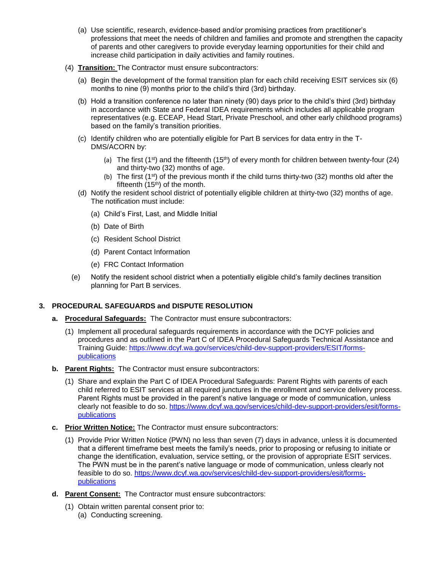- (a) Use scientific, research, evidence-based and/or promising practices from practitioner's professions that meet the needs of children and families and promote and strengthen the capacity of parents and other caregivers to provide everyday learning opportunities for their child and increase child participation in daily activities and family routines.
- (4) **Transition:** The Contractor must ensure subcontractors:
	- (a) Begin the development of the formal transition plan for each child receiving ESIT services six (6) months to nine (9) months prior to the child's third (3rd) birthday.
	- (b) Hold a transition conference no later than ninety (90) days prior to the child's third (3rd) birthday in accordance with State and Federal IDEA requirements which includes all applicable program representatives (e.g. ECEAP, Head Start, Private Preschool, and other early childhood programs) based on the family's transition priorities.
	- (c) Identify children who are potentially eligible for Part B services for data entry in the T-DMS/ACORN by:
		- (a) The first (1<sup>st</sup>) and the fifteenth (15<sup>th</sup>) of every month for children between twenty-four (24) and thirty-two (32) months of age.
		- (b) The first  $(1^{st})$  of the previous month if the child turns thirty-two (32) months old after the fifteenth  $(15<sup>th</sup>)$  of the month.
	- (d) Notify the resident school district of potentially eligible children at thirty-two (32) months of age. The notification must include:
		- (a) Child's First, Last, and Middle Initial
		- (b) Date of Birth
		- (c) Resident School District
		- (d) Parent Contact Information
		- (e) FRC Contact Information
	- (e) Notify the resident school district when a potentially eligible child's family declines transition planning for Part B services.

### **3. PROCEDURAL SAFEGUARDS and DISPUTE RESOLUTION**

- **a. Procedural Safeguards:** The Contractor must ensure subcontractors:
	- (1) Implement all procedural safeguards requirements in accordance with the DCYF policies and procedures and as outlined in the Part C of IDEA Procedural Safeguards Technical Assistance and Training Guide: [https://www.dcyf.wa.gov/services/child-dev-support-providers/ESIT/forms](https://www.dcyf.wa.gov/services/child-dev-support-providers/ESIT/forms-publications)[publications](https://www.dcyf.wa.gov/services/child-dev-support-providers/ESIT/forms-publications)
- **b. Parent Rights:** The Contractor must ensure subcontractors:
	- (1) Share and explain the Part C of IDEA Procedural Safeguards: Parent Rights with parents of each child referred to ESIT services at all required junctures in the enrollment and service delivery process. Parent Rights must be provided in the parent's native language or mode of communication, unless clearly not feasible to do so. [https://www.dcyf.wa.gov/services/child-dev-support-providers/esit/forms](https://www.dcyf.wa.gov/services/child-dev-support-providers/esit/forms-publications)[publications](https://www.dcyf.wa.gov/services/child-dev-support-providers/esit/forms-publications)
- **c. Prior Written Notice:** The Contractor must ensure subcontractors:
	- (1) Provide Prior Written Notice (PWN) no less than seven (7) days in advance, unless it is documented that a different timeframe best meets the family's needs, prior to proposing or refusing to initiate or change the identification, evaluation, service setting, or the provision of appropriate ESIT services. The PWN must be in the parent's native language or mode of communication, unless clearly not feasible to do so. [https://www.dcyf.wa.gov/services/child-dev-support-providers/esit/forms](https://www.dcyf.wa.gov/services/child-dev-support-providers/esit/forms-publications)[publications](https://www.dcyf.wa.gov/services/child-dev-support-providers/esit/forms-publications)
- **d. Parent Consent:** The Contractor must ensure subcontractors:
	- (1) Obtain written parental consent prior to:
		- (a) Conducting screening.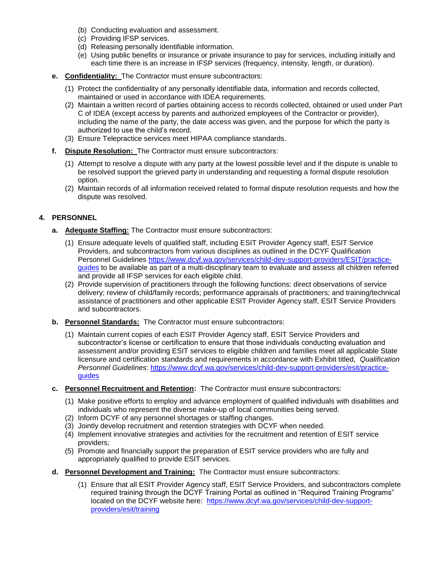- (b) Conducting evaluation and assessment.
- (c) Providing IFSP services.
- (d) Releasing personally identifiable information.
- (e) Using public benefits or insurance or private insurance to pay for services, including initially and each time there is an increase in IFSP services (frequency, intensity, length, or duration).
- **e. Confidentiality:** The Contractor must ensure subcontractors:
	- (1) Protect the confidentiality of any personally identifiable data, information and records collected, maintained or used in accordance with IDEA requirements.
	- (2) Maintain a written record of parties obtaining access to records collected, obtained or used under Part C of IDEA (except access by parents and authorized employees of the Contractor or provider), including the name of the party, the date access was given, and the purpose for which the party is authorized to use the child's record.
	- (3) Ensure Telepractice services meet HIPAA compliance standards.
- **f. Dispute Resolution:** The Contractor must ensure subcontractors:
	- (1) Attempt to resolve a dispute with any party at the lowest possible level and if the dispute is unable to be resolved support the grieved party in understanding and requesting a formal dispute resolution option.
	- (2) Maintain records of all information received related to formal dispute resolution requests and how the dispute was resolved.

## **4. PERSONNEL**

- **a. Adequate Staffing:** The Contractor must ensure subcontractors:
	- (1) Ensure adequate levels of qualified staff, including ESIT Provider Agency staff, ESIT Service Providers, and subcontractors from various disciplines as outlined in the DCYF Qualification Personnel Guidelines [https://www.dcyf.wa.gov/services/child-dev-support-providers/ESIT/practice](https://www.dcyf.wa.gov/services/child-dev-support-providers/ESIT/practice-guides)[guides](https://www.dcyf.wa.gov/services/child-dev-support-providers/ESIT/practice-guides) to be available as part of a multi-disciplinary team to evaluate and assess all children referred and provide all IFSP services for each eligible child.
	- (2) Provide supervision of practitioners through the following functions: direct observations of service delivery; review of child/family records; performance appraisals of practitioners; and training/technical assistance of practitioners and other applicable ESIT Provider Agency staff, ESIT Service Providers and subcontractors.
- **b. Personnel Standards:** The Contractor must ensure subcontractors:
	- (1) Maintain current copies of each ESIT Provider Agency staff, ESIT Service Providers and subcontractor's license or certification to ensure that those individuals conducting evaluation and assessment and/or providing ESIT services to eligible children and families meet all applicable State licensure and certification standards and requirements in accordance with Exhibit titled, *Qualification Personnel Guidelines*: [https://www.dcyf.wa.gov/services/child-dev-support-providers/esit/practice](https://www.dcyf.wa.gov/services/child-dev-support-providers/esit/practice-guides)[guides](https://www.dcyf.wa.gov/services/child-dev-support-providers/esit/practice-guides)
- **c. Personnel Recruitment and Retention:** The Contractor must ensure subcontractors:
	- (1) Make positive efforts to employ and advance employment of qualified individuals with disabilities and individuals who represent the diverse make-up of local communities being served.
	- (2) Inform DCYF of any personnel shortages or staffing changes.
	- (3) Jointly develop recruitment and retention strategies with DCYF when needed.
	- (4) Implement innovative strategies and activities for the recruitment and retention of ESIT service providers;
	- (5) Promote and financially support the preparation of ESIT service providers who are fully and appropriately qualified to provide ESIT services.
- **d. Personnel Development and Training:** The Contractor must ensure subcontractors:
	- (1) Ensure that all ESIT Provider Agency staff, ESIT Service Providers, and subcontractors complete required training through the DCYF Training Portal as outlined in "Required Training Programs" located on the DCYF website here: [https://www.dcyf.wa.gov/services/child-dev-support](https://www.dcyf.wa.gov/services/child-dev-support-providers/esit/training)[providers/esit/training](https://www.dcyf.wa.gov/services/child-dev-support-providers/esit/training)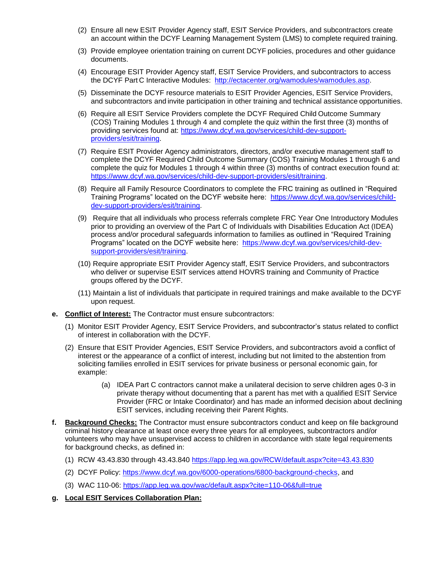- (2) Ensure all new ESIT Provider Agency staff, ESIT Service Providers, and subcontractors create an account within the DCYF Learning Management System (LMS) to complete required training.
- (3) Provide employee orientation training on current DCYF policies, procedures and other guidance documents.
- (4) Encourage ESIT Provider Agency staff, ESIT Service Providers, and subcontractors to access the DCYF Part C Interactive Modules: [http://ectacenter.org/wamodules/wamodules.asp.](http://ectacenter.org/wamodules/wamodules.asp)
- (5) Disseminate the DCYF resource materials to ESIT Provider Agencies, ESIT Service Providers, and subcontractors and invite participation in other training and technical assistance opportunities.
- (6) Require all ESIT Service Providers complete the DCYF Required Child Outcome Summary (COS) Training Modules 1 through 4 and complete the quiz within the first three (3) months of providing services found at: [https://www.dcyf.wa.gov/services/child-dev-support](https://www.dcyf.wa.gov/services/child-dev-support-providers/esit/training)[providers/esit/training.](https://www.dcyf.wa.gov/services/child-dev-support-providers/esit/training)
- (7) Require ESIT Provider Agency administrators, directors, and/or executive management staff to complete the DCYF Required Child Outcome Summary (COS) Training Modules 1 through 6 and complete the quiz for Modules 1 through 4 within three (3) months of contract execution found at: [https://www.dcyf.wa.gov/services/child-dev-support-providers/esit/training.](https://www.dcyf.wa.gov/services/child-dev-support-providers/esit/training)
- (8) Require all Family Resource Coordinators to complete the FRC training as outlined in "Required Training Programs" located on the DCYF website here: [https://www.dcyf.wa.gov/services/child](https://www.dcyf.wa.gov/services/child-dev-support-providers/esit/training)[dev-support-providers/esit/training.](https://www.dcyf.wa.gov/services/child-dev-support-providers/esit/training)
- (9) Require that all individuals who process referrals complete FRC Year One Introductory Modules prior to providing an overview of the Part C of Individuals with Disabilities Education Act (IDEA) process and/or procedural safeguards information to families as outlined in "Required Training Programs" located on the DCYF website here: [https://www.dcyf.wa.gov/services/child-dev](https://www.dcyf.wa.gov/services/child-dev-support-providers/esit/training)[support-providers/esit/training.](https://www.dcyf.wa.gov/services/child-dev-support-providers/esit/training)
- (10) Require appropriate ESIT Provider Agency staff, ESIT Service Providers, and subcontractors who deliver or supervise ESIT services attend HOVRS training and Community of Practice groups offered by the DCYF.
- (11) Maintain a list of individuals that participate in required trainings and make available to the DCYF upon request.
- **e. Conflict of Interest:** The Contractor must ensure subcontractors:
	- (1) Monitor ESIT Provider Agency, ESIT Service Providers, and subcontractor's status related to conflict of interest in collaboration with the DCYF.
	- (2) Ensure that ESIT Provider Agencies, ESIT Service Providers, and subcontractors avoid a conflict of interest or the appearance of a conflict of interest, including but not limited to the abstention from soliciting families enrolled in ESIT services for private business or personal economic gain, for example:
		- (a) IDEA Part C contractors cannot make a unilateral decision to serve children ages 0-3 in private therapy without documenting that a parent has met with a qualified ESIT Service Provider (FRC or Intake Coordinator) and has made an informed decision about declining ESIT services, including receiving their Parent Rights.
- **f. Background Checks:** The Contractor must ensure subcontractors conduct and keep on file background criminal history clearance at least once every three years for all employees, subcontractors and/or volunteers who may have unsupervised access to children in accordance with state legal requirements for background checks, as defined in:
	- (1) RCW 43.43.830 through 43.43.840<https://app.leg.wa.gov/RCW/default.aspx?cite=43.43.830>
	- (2) DCYF Policy: [https://www.dcyf.wa.gov/6000-operations/6800-background-checks,](https://www.dcyf.wa.gov/6000-operations/6800-background-checks) and
	- (3) WAC 110-06:<https://app.leg.wa.gov/wac/default.aspx?cite=110-06&full=true>
- **g. Local ESIT Services Collaboration Plan:**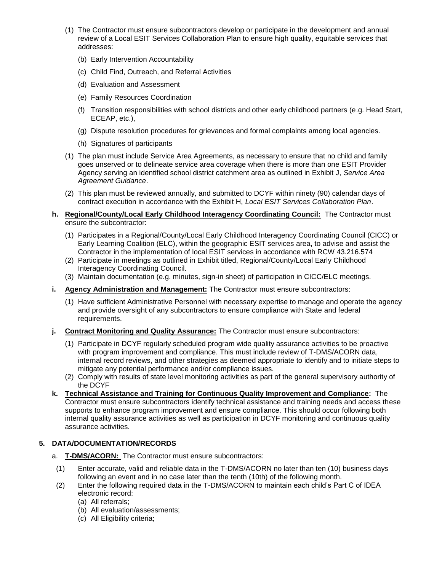- (1) The Contractor must ensure subcontractors develop or participate in the development and annual review of a Local ESIT Services Collaboration Plan to ensure high quality, equitable services that addresses:
	- (b) Early Intervention Accountability
	- (c) Child Find, Outreach, and Referral Activities
	- (d) Evaluation and Assessment
	- (e) Family Resources Coordination
	- (f) Transition responsibilities with school districts and other early childhood partners (e.g. Head Start, ECEAP, etc.),
	- (g) Dispute resolution procedures for grievances and formal complaints among local agencies.
	- (h) Signatures of participants
- (1) The plan must include Service Area Agreements, as necessary to ensure that no child and family goes unserved or to delineate service area coverage when there is more than one ESIT Provider Agency serving an identified school district catchment area as outlined in Exhibit J, *Service Area Agreement Guidance*.
- (2) This plan must be reviewed annually, and submitted to DCYF within ninety (90) calendar days of contract execution in accordance with the Exhibit H, *Local ESIT Services Collaboration Plan*.
- **h. Regional/County/Local Early Childhood Interagency Coordinating Council:** The Contractor must ensure the subcontractor:
	- (1) Participates in a Regional/County/Local Early Childhood Interagency Coordinating Council (CICC) or Early Learning Coalition (ELC), within the geographic ESIT services area, to advise and assist the Contractor in the implementation of local ESIT services in accordance with RCW 43.216.574
	- (2) Participate in meetings as outlined in Exhibit titled, Regional/County/Local Early Childhood Interagency Coordinating Council.
	- (3) Maintain documentation (e.g. minutes, sign-in sheet) of participation in CICC/ELC meetings.
- **i. Agency Administration and Management:** The Contractor must ensure subcontractors:
	- (1) Have sufficient Administrative Personnel with necessary expertise to manage and operate the agency and provide oversight of any subcontractors to ensure compliance with State and federal requirements.
- **j. Contract Monitoring and Quality Assurance:** The Contractor must ensure subcontractors:
	- (1) Participate in DCYF regularly scheduled program wide quality assurance activities to be proactive with program improvement and compliance. This must include review of T-DMS/ACORN data, internal record reviews, and other strategies as deemed appropriate to identify and to initiate steps to mitigate any potential performance and/or compliance issues.
	- (2) Comply with results of state level monitoring activities as part of the general supervisory authority of the DCYF
- **k. Technical Assistance and Training for Continuous Quality Improvement and Compliance:** The Contractor must ensure subcontractors identify technical assistance and training needs and access these supports to enhance program improvement and ensure compliance. This should occur following both internal quality assurance activities as well as participation in DCYF monitoring and continuous quality assurance activities.

### **5. DATA/DOCUMENTATION/RECORDS**

- a. **T-DMS/ACORN:** The Contractor must ensure subcontractors:
- (1) Enter accurate, valid and reliable data in the T-DMS/ACORN no later than ten (10) business days following an event and in no case later than the tenth (10th) of the following month.
- (2) Enter the following required data in the T-DMS/ACORN to maintain each child's Part C of IDEA electronic record:
	- (a) All referrals;
	- (b) All evaluation/assessments;
	- (c) All Eligibility criteria;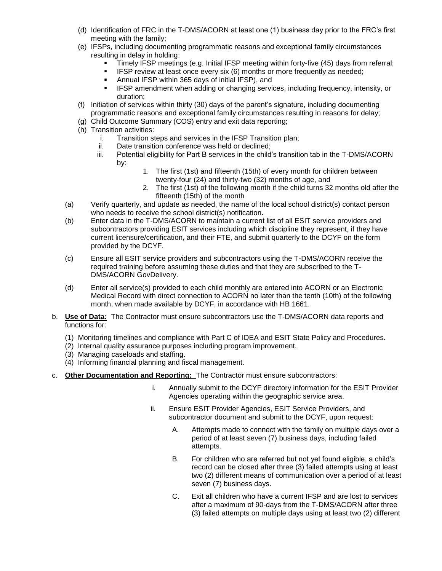- (d) Identification of FRC in the T-DMS/ACORN at least one (1) business day prior to the FRC's first meeting with the family;
- (e) IFSPs, including documenting programmatic reasons and exceptional family circumstances resulting in delay in holding:
	- Timely IFSP meetings (e.g. Initial IFSP meeting within forty-five (45) days from referral;
	- IFSP review at least once every six (6) months or more frequently as needed;
	- Annual IFSP within 365 days of initial IFSP), and
	- **IFSP amendment when adding or changing services, including frequency, intensity, or** duration;
- (f) Initiation of services within thirty (30) days of the parent's signature, including documenting programmatic reasons and exceptional family circumstances resulting in reasons for delay;
- (g) Child Outcome Summary (COS) entry and exit data reporting;
- (h) Transition activities:
	- i. Transition steps and services in the IFSP Transition plan;
	- ii. Date transition conference was held or declined;
	- iii. Potential eligibility for Part B services in the child's transition tab in the T-DMS/ACORN by:
		- 1. The first (1st) and fifteenth (15th) of every month for children between twenty-four (24) and thirty-two (32) months of age, and
		- 2. The first (1st) of the following month if the child turns 32 months old after the fifteenth (15th) of the month
- (a) Verify quarterly, and update as needed, the name of the local school district(s) contact person who needs to receive the school district(s) notification.
- (b) Enter data in the T-DMS/ACORN to maintain a current list of all ESIT service providers and subcontractors providing ESIT services including which discipline they represent, if they have current licensure/certification, and their FTE, and submit quarterly to the DCYF on the form provided by the DCYF.
- (c) Ensure all ESIT service providers and subcontractors using the T-DMS/ACORN receive the required training before assuming these duties and that they are subscribed to the T-DMS/ACORN GovDelivery.
- (d) Enter all service(s) provided to each child monthly are entered into ACORN or an Electronic Medical Record with direct connection to ACORN no later than the tenth (10th) of the following month, when made available by DCYF, in accordance with HB 1661.
- b. **Use of Data:** The Contractor must ensure subcontractors use the T-DMS/ACORN data reports and functions for:
	- (1) Monitoring timelines and compliance with Part C of IDEA and ESIT State Policy and Procedures.
	- (2) Internal quality assurance purposes including program improvement.
	- (3) Managing caseloads and staffing.
	- (4) Informing financial planning and fiscal management.
- c. **Other Documentation and Reporting:** The Contractor must ensure subcontractors:
	- i. Annually submit to the DCYF directory information for the ESIT Provider Agencies operating within the geographic service area.
	- ii. Ensure ESIT Provider Agencies, ESIT Service Providers, and subcontractor document and submit to the DCYF, upon request:
		- A. Attempts made to connect with the family on multiple days over a period of at least seven (7) business days, including failed attempts.
		- B. For children who are referred but not yet found eligible, a child's record can be closed after three (3) failed attempts using at least two (2) different means of communication over a period of at least seven (7) business days.
		- C. Exit all children who have a current IFSP and are lost to services after a maximum of 90-days from the T-DMS/ACORN after three (3) failed attempts on multiple days using at least two (2) different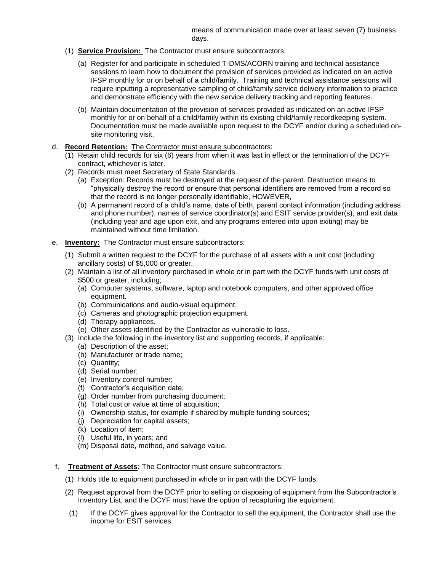means of communication made over at least seven (7) business days.

- (1) **Service Provision:** The Contractor must ensure subcontractors:
	- (a) Register for and participate in scheduled T-DMS/ACORN training and technical assistance sessions to learn how to document the provision of services provided as indicated on an active IFSP monthly for or on behalf of a child/family. Training and technical assistance sessions will require inputting a representative sampling of child/family service delivery information to practice and demonstrate efficiency with the new service delivery tracking and reporting features.
	- (b) Maintain documentation of the provision of services provided as indicated on an active IFSP monthly for or on behalf of a child/family within its existing child/family recordkeeping system. Documentation must be made available upon request to the DCYF and/or during a scheduled onsite monitoring visit.
- d. **Record Retention:** The Contractor must ensure subcontractors:
	- (1) Retain child records for six (6) years from when it was last in effect or the termination of the DCYF contract, whichever is later.
	- (2) Records must meet Secretary of State Standards.
		- (a) Exception: Records must be destroyed at the request of the parent. Destruction means to "physically destroy the record or ensure that personal identifiers are removed from a record so that the record is no longer personally identifiable, HOWEVER,
		- (b) A permanent record of a child's name, date of birth, parent contact information (including address and phone number), names of service coordinator(s) and ESIT service provider(s), and exit data (including year and age upon exit, and any programs entered into upon exiting) may be maintained without time limitation.
- e. **Inventory:** The Contractor must ensure subcontractors:
	- (1) Submit a written request to the DCYF for the purchase of all assets with a unit cost (including ancillary costs) of \$5,000 or greater.
	- (2) Maintain a list of all inventory purchased in whole or in part with the DCYF funds with unit costs of \$500 or greater, including;
		- (a) Computer systems, software, laptop and notebook computers, and other approved office equipment.
		- (b) Communications and audio-visual equipment.
		- (c) Cameras and photographic projection equipment.
		- (d) Therapy appliances.
		- (e) Other assets identified by the Contractor as vulnerable to loss.
	- (3) Include the following in the inventory list and supporting records, if applicable:
		- (a) Description of the asset;
		- (b) Manufacturer or trade name;
		- (c) Quantity;
		- (d) Serial number;
		- (e) Inventory control number;
		- (f) Contractor's acquisition date;
		- (g) Order number from purchasing document;
		- (h) Total cost or value at time of acquisition;
		- (i) Ownership status, for example if shared by multiple funding sources;
		- (j) Depreciation for capital assets;
		- (k) Location of item;
		- (l) Useful life, in years; and
		- (m) Disposal date, method, and salvage value.
- f. **Treatment of Assets:** The Contractor must ensure subcontractors:
	- (1) Holds title to equipment purchased in whole or in part with the DCYF funds.
	- (2) Request approval from the DCYF prior to selling or disposing of equipment from the Subcontractor's Inventory List, and the DCYF must have the option of recapturing the equipment.
	- (1) If the DCYF gives approval for the Contractor to sell the equipment, the Contractor shall use the income for ESIT services.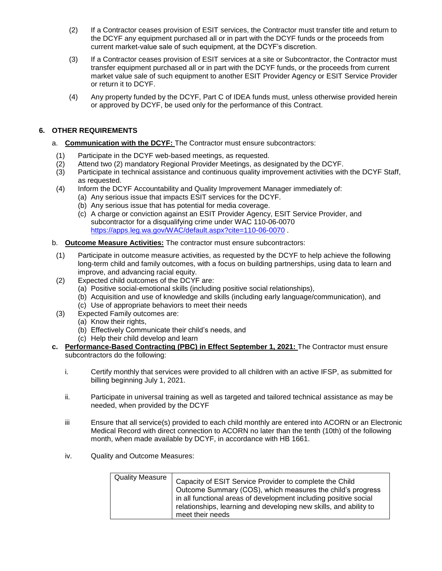- (2) If a Contractor ceases provision of ESIT services, the Contractor must transfer title and return to the DCYF any equipment purchased all or in part with the DCYF funds or the proceeds from current market-value sale of such equipment, at the DCYF's discretion.
- (3) If a Contractor ceases provision of ESIT services at a site or Subcontractor, the Contractor must transfer equipment purchased all or in part with the DCYF funds, or the proceeds from current market value sale of such equipment to another ESIT Provider Agency or ESIT Service Provider or return it to DCYF.
- (4) Any property funded by the DCYF, Part C of IDEA funds must, unless otherwise provided herein or approved by DCYF, be used only for the performance of this Contract.

# **6. OTHER REQUIREMENTS**

- a. **Communication with the DCYF:** The Contractor must ensure subcontractors:
- (1) Participate in the DCYF web-based meetings, as requested.
- (2) Attend two (2) mandatory Regional Provider Meetings, as designated by the DCYF.
- (3) Participate in technical assistance and continuous quality improvement activities with the DCYF Staff, as requested.
- (4) Inform the DCYF Accountability and Quality Improvement Manager immediately of:
	- (a) Any serious issue that impacts ESIT services for the DCYF.
		- (b) Any serious issue that has potential for media coverage.
		- (c) A charge or conviction against an ESIT Provider Agency, ESIT Service Provider, and subcontractor for a disqualifying crime under WAC 110-06-0070 <https://apps.leg.wa.gov/WAC/default.aspx?cite=110-06-0070> .
- b. **Outcome Measure Activities:** The contractor must ensure subcontractors:
- (1) Participate in outcome measure activities, as requested by the DCYF to help achieve the following long-term child and family outcomes, with a focus on building partnerships, using data to learn and improve, and advancing racial equity.
- (2) Expected child outcomes of the DCYF are:
	- (a) Positive social-emotional skills (including positive social relationships),
	- (b) Acquisition and use of knowledge and skills (including early language/communication), and
	- (c) Use of appropriate behaviors to meet their needs
- (3) Expected Family outcomes are:
	- (a) Know their rights,
	- (b) Effectively Communicate their child's needs, and
	- (c) Help their child develop and learn
- **c. Performance-Based Contracting (PBC) in Effect September 1, 2021:** The Contractor must ensure subcontractors do the following:
	- i. Certify monthly that services were provided to all children with an active IFSP, as submitted for billing beginning July 1, 2021.
	- ii. Participate in universal training as well as targeted and tailored technical assistance as may be needed, when provided by the DCYF
	- iii Ensure that all service(s) provided to each child monthly are entered into ACORN or an Electronic Medical Record with direct connection to ACORN no later than the tenth (10th) of the following month, when made available by DCYF, in accordance with HB 1661.
	- iv. Quality and Outcome Measures:

| Quality Measure | Capacity of ESIT Service Provider to complete the Child           |
|-----------------|-------------------------------------------------------------------|
|                 | Outcome Summary (COS), which measures the child's progress        |
|                 |                                                                   |
|                 | in all functional areas of development including positive social  |
|                 | relationships, learning and developing new skills, and ability to |
|                 | meet their needs                                                  |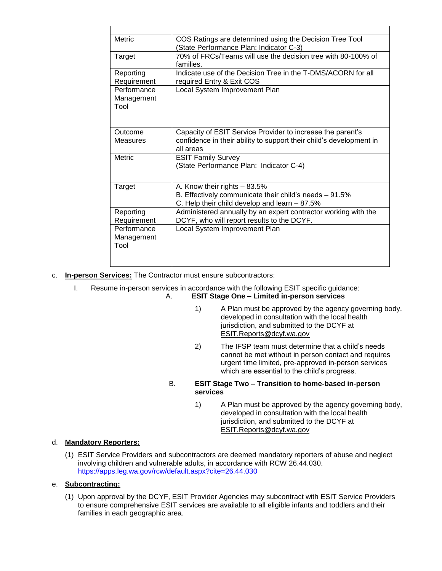| <b>Metric</b>                     | COS Ratings are determined using the Decision Tree Tool<br>(State Performance Plan: Indicator C-3)                                             |
|-----------------------------------|------------------------------------------------------------------------------------------------------------------------------------------------|
| Target                            | 70% of FRCs/Teams will use the decision tree with 80-100% of<br>families.                                                                      |
| Reporting<br>Requirement          | Indicate use of the Decision Tree in the T-DMS/ACORN for all<br>required Entry & Exit COS                                                      |
| Performance<br>Management<br>Tool | Local System Improvement Plan                                                                                                                  |
|                                   |                                                                                                                                                |
| Outcome<br><b>Measures</b>        | Capacity of ESIT Service Provider to increase the parent's<br>confidence in their ability to support their child's development in<br>all areas |
| <b>Metric</b>                     | <b>ESIT Family Survey</b><br>(State Performance Plan: Indicator C-4)                                                                           |
| Target                            | A. Know their rights - 83.5%<br>B. Effectively communicate their child's needs $-91.5\%$<br>C. Help their child develop and learn - 87.5%      |
| Reporting<br>Requirement          | Administered annually by an expert contractor working with the<br>DCYF, who will report results to the DCYF.                                   |
| Performance<br>Management<br>Tool | Local System Improvement Plan                                                                                                                  |

- c. **In-person Services:** The Contractor must ensure subcontractors:
	- I. Resume in-person services in accordance with the following ESIT specific guidance: A. **ESIT Stage One – Limited in-person services**
		- 1) A Plan must be approved by the agency governing body, developed in consultation with the local health jurisdiction, and submitted to the DCYF at [ESIT.Reports@dcyf.wa.gov](mailto:ESIT.Reports@dcyf.wa.gov)
		- 2) The IFSP team must determine that a child's needs cannot be met without in person contact and requires urgent time limited, pre-approved in-person services which are essential to the child's progress.
		- B. **ESIT Stage Two – Transition to home-based in-person services**
			- 1) A Plan must be approved by the agency governing body, developed in consultation with the local health jurisdiction, and submitted to the DCYF at [ESIT.Reports@dcyf.wa.gov](mailto:)

# d. **Mandatory Reporters:**

(1) ESIT Service Providers and subcontractors are deemed mandatory reporters of abuse and neglect involving children and vulnerable adults, in accordance with RCW 26.44.030. <https://apps.leg.wa.gov/rcw/default.aspx?cite=26.44.030>

# e. **Subcontracting:**

(1) Upon approval by the DCYF, ESIT Provider Agencies may subcontract with ESIT Service Providers to ensure comprehensive ESIT services are available to all eligible infants and toddlers and their families in each geographic area.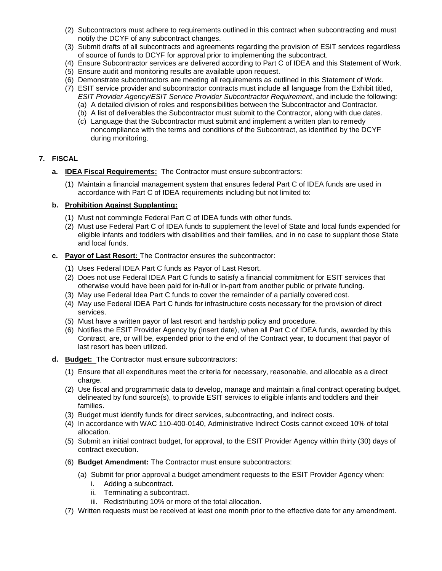- (2) Subcontractors must adhere to requirements outlined in this contract when subcontracting and must notify the DCYF of any subcontract changes.
- (3) Submit drafts of all subcontracts and agreements regarding the provision of ESIT services regardless of source of funds to DCYF for approval prior to implementing the subcontract.
- (4) Ensure Subcontractor services are delivered according to Part C of IDEA and this Statement of Work.
- (5) Ensure audit and monitoring results are available upon request.
- (6) Demonstrate subcontractors are meeting all requirements as outlined in this Statement of Work.
- (7) ESIT service provider and subcontractor contracts must include all language from the Exhibit titled, *ESIT Provider Agency/ESIT Service Provider Subcontractor Requirement*, and include the following:
	- (a) A detailed division of roles and responsibilities between the Subcontractor and Contractor.
	- (b) A list of deliverables the Subcontractor must submit to the Contractor, along with due dates.
	- (c) Language that the Subcontractor must submit and implement a written plan to remedy noncompliance with the terms and conditions of the Subcontract, as identified by the DCYF during monitoring.

### **7. FISCAL**

- **a. IDEA Fiscal Requirements:** The Contractor must ensure subcontractors:
	- (1) Maintain a financial management system that ensures federal Part C of IDEA funds are used in accordance with Part C of IDEA requirements including but not limited to:

#### **b. Prohibition Against Supplanting:**

- (1) Must not commingle Federal Part C of IDEA funds with other funds.
- (2) Must use Federal Part C of IDEA funds to supplement the level of State and local funds expended for eligible infants and toddlers with disabilities and their families, and in no case to supplant those State and local funds.
- **c. Payor of Last Resort:** The Contractor ensures the subcontractor:
	- (1) Uses Federal IDEA Part C funds as Payor of Last Resort.
	- (2) Does not use Federal IDEA Part C funds to satisfy a financial commitment for ESIT services that otherwise would have been paid for in-full or in-part from another public or private funding.
	- (3) May use Federal Idea Part C funds to cover the remainder of a partially covered cost.
	- (4) May use Federal IDEA Part C funds for infrastructure costs necessary for the provision of direct services.
	- (5) Must have a written payor of last resort and hardship policy and procedure.
	- (6) Notifies the ESIT Provider Agency by (insert date), when all Part C of IDEA funds, awarded by this Contract, are, or will be, expended prior to the end of the Contract year, to document that payor of last resort has been utilized.
- **d. Budget:** The Contractor must ensure subcontractors:
	- (1) Ensure that all expenditures meet the criteria for necessary, reasonable, and allocable as a direct charge.
	- (2) Use fiscal and programmatic data to develop, manage and maintain a final contract operating budget, delineated by fund source(s), to provide ESIT services to eligible infants and toddlers and their families.
	- (3) Budget must identify funds for direct services, subcontracting, and indirect costs.
	- (4) In accordance with WAC 110-400-0140, Administrative Indirect Costs cannot exceed 10% of total allocation.
	- (5) Submit an initial contract budget, for approval, to the ESIT Provider Agency within thirty (30) days of contract execution.
	- (6) **Budget Amendment:** The Contractor must ensure subcontractors:
		- (a) Submit for prior approval a budget amendment requests to the ESIT Provider Agency when:
			- i. Adding a subcontract.
			- ii. Terminating a subcontract.
			- iii. Redistributing 10% or more of the total allocation.
	- (7) Written requests must be received at least one month prior to the effective date for any amendment.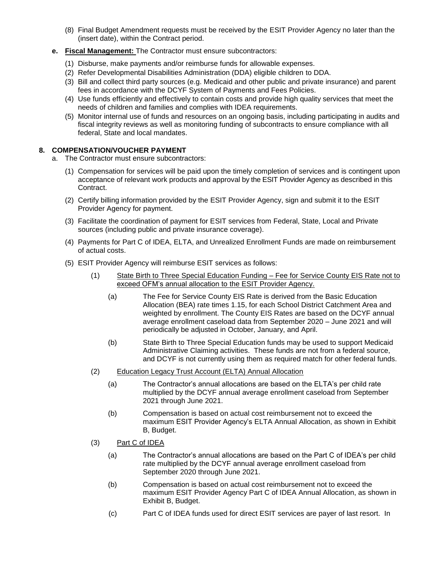- (8) Final Budget Amendment requests must be received by the ESIT Provider Agency no later than the (insert date), within the Contract period.
- **e. Fiscal Management:** The Contractor must ensure subcontractors:
	- (1) Disburse, make payments and/or reimburse funds for allowable expenses.
	- (2) Refer Developmental Disabilities Administration (DDA) eligible children to DDA.
	- (3) Bill and collect third party sources (e.g. Medicaid and other public and private insurance) and parent fees in accordance with the DCYF System of Payments and Fees Policies.
	- (4) Use funds efficiently and effectively to contain costs and provide high quality services that meet the needs of children and families and complies with IDEA requirements.
	- (5) Monitor internal use of funds and resources on an ongoing basis, including participating in audits and fiscal integrity reviews as well as monitoring funding of subcontracts to ensure compliance with all federal, State and local mandates.

## **8. COMPENSATION/VOUCHER PAYMENT**

- a. The Contractor must ensure subcontractors:
	- (1) Compensation for services will be paid upon the timely completion of services and is contingent upon acceptance of relevant work products and approval by the ESIT Provider Agency as described in this Contract.
	- (2) Certify billing information provided by the ESIT Provider Agency, sign and submit it to the ESIT Provider Agency for payment.
	- (3) Facilitate the coordination of payment for ESIT services from Federal, State, Local and Private sources (including public and private insurance coverage).
	- (4) Payments for Part C of IDEA, ELTA, and Unrealized Enrollment Funds are made on reimbursement of actual costs.
	- (5) ESIT Provider Agency will reimburse ESIT services as follows:
		- (1) State Birth to Three Special Education Funding Fee for Service County EIS Rate not to exceed OFM's annual allocation to the ESIT Provider Agency.
			- (a) The Fee for Service County EIS Rate is derived from the Basic Education Allocation (BEA) rate times 1.15, for each School District Catchment Area and weighted by enrollment. The County EIS Rates are based on the DCYF annual average enrollment caseload data from September 2020 – June 2021 and will periodically be adjusted in October, January, and April.
			- (b) State Birth to Three Special Education funds may be used to support Medicaid Administrative Claiming activities. These funds are not from a federal source, and DCYF is not currently using them as required match for other federal funds.
		- (2) Education Legacy Trust Account (ELTA) Annual Allocation
			- (a) The Contractor's annual allocations are based on the ELTA's per child rate multiplied by the DCYF annual average enrollment caseload from September 2021 through June 2021.
			- (b) Compensation is based on actual cost reimbursement not to exceed the maximum ESIT Provider Agency's ELTA Annual Allocation, as shown in Exhibit B, Budget.
		- (3) Part C of IDEA
			- (a) The Contractor's annual allocations are based on the Part C of IDEA's per child rate multiplied by the DCYF annual average enrollment caseload from September 2020 through June 2021.
			- (b) Compensation is based on actual cost reimbursement not to exceed the maximum ESIT Provider Agency Part C of IDEA Annual Allocation, as shown in Exhibit B, Budget.
			- (c) Part C of IDEA funds used for direct ESIT services are payer of last resort. In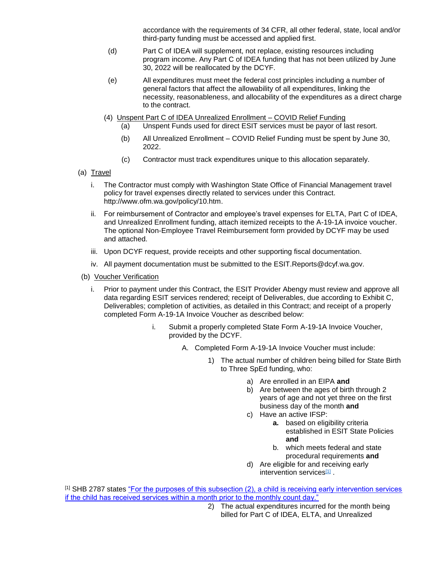accordance with the requirements of 34 CFR, all other federal, state, local and/or third-party funding must be accessed and applied first.

- (d) Part C of IDEA will supplement, not replace, existing resources including program income. Any Part C of IDEA funding that has not been utilized by June 30, 2022 will be reallocated by the DCYF.
- (e) All expenditures must meet the federal cost principles including a number of general factors that affect the allowability of all expenditures, linking the necessity, reasonableness, and allocability of the expenditures as a direct charge to the contract.
- (4) Unspent Part C of IDEA Unrealized Enrollment COVID Relief Funding
	- (a) Unspent Funds used for direct ESIT services must be payor of last resort.
	- (b) All Unrealized Enrollment COVID Relief Funding must be spent by June 30, 2022.
	- (c) Contractor must track expenditures unique to this allocation separately.
- (a) Travel
	- i. The Contractor must comply with Washington State Office of Financial Management travel policy for travel expenses directly related to services under this Contract. http://www.ofm.wa.gov/policy/10.htm.
	- ii. For reimbursement of Contractor and employee's travel expenses for ELTA, Part C of IDEA, and Unrealized Enrollment funding, attach itemized receipts to the A-19-1A invoice voucher. The optional Non-Employee Travel Reimbursement form provided by DCYF may be used and attached.
	- iii. Upon DCYF request, provide receipts and other supporting fiscal documentation.
	- iv. All payment documentation must be submitted to the ESIT.Reports@dcyf.wa.gov.
- (b) Voucher Verification
	- i. Prior to payment under this Contract, the ESIT Provider Abengy must review and approve all data regarding ESIT services rendered; receipt of Deliverables, due according to Exhibit C, Deliverables; completion of activities, as detailed in this Contract; and receipt of a properly completed Form A-19-1A Invoice Voucher as described below:
		- i. Submit a properly completed State Form A-19-1A Invoice Voucher, provided by the DCYF.
			- A. Completed Form A-19-1A Invoice Voucher must include:
				- 1) The actual number of children being billed for State Birth to Three SpEd funding, who:
					- a) Are enrolled in an EIPA **and**
					- b) Are between the ages of birth through 2 years of age and not yet three on the first business day of the month **and**
					- c) Have an active IFSP:
						- **a.** based on eligibility criteria established in ESIT State Policies **and**
						- b. which meets federal and state procedural requirements **and**
					- d) Are eligible for and receiving early intervention services[1]

[1] SHB 2787 states ["For the purposes of this subsection \(2\), a child is receiving early intervention services](http://lawfilesext.leg.wa.gov/biennium/2019-20/Pdf/Bills/House%20Passed%20Legislature/2787-S.PL.pdf?q=20200615170703)  [if the child has received services within a month prior to the monthly count day."](http://lawfilesext.leg.wa.gov/biennium/2019-20/Pdf/Bills/House%20Passed%20Legislature/2787-S.PL.pdf?q=20200615170703)

> 2) The actual expenditures incurred for the month being billed for Part C of IDEA, ELTA, and Unrealized